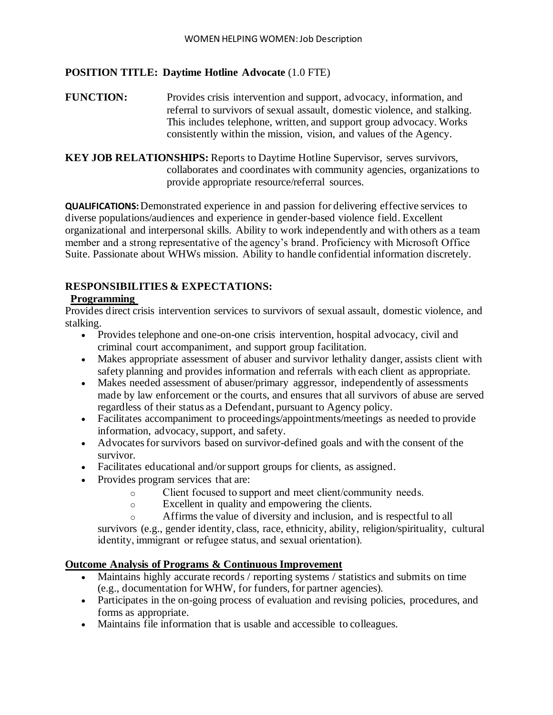## **POSITION TITLE: Daytime Hotline Advocate** (1.0 FTE)

- **FUNCTION:** Provides crisis intervention and support, advocacy, information, and referral to survivors of sexual assault, domestic violence, and stalking. This includes telephone, written, and support group advocacy. Works consistently within the mission, vision, and values of the Agency.
- **KEY JOB RELATIONSHIPS:** Reports to Daytime Hotline Supervisor, serves survivors, collaborates and coordinates with community agencies, organizations to provide appropriate resource/referral sources.

**QUALIFICATIONS:** Demonstrated experience in and passion for delivering effective services to diverse populations/audiences and experience in gender-based violence field. Excellent organizational and interpersonal skills. Ability to work independently and with others as a team member and a strong representative of the agency's brand. Proficiency with Microsoft Office Suite. Passionate about WHWs mission. Ability to handle confidential information discretely.

## **RESPONSIBILITIES & EXPECTATIONS:**

#### **Programming**

Provides direct crisis intervention services to survivors of sexual assault, domestic violence, and stalking.

- Provides telephone and one-on-one crisis intervention, hospital advocacy, civil and criminal court accompaniment, and support group facilitation.
- Makes appropriate assessment of abuser and survivor lethality danger, assists client with safety planning and provides information and referrals with each client as appropriate.
- Makes needed assessment of abuser/primary aggressor, independently of assessments made by law enforcement or the courts, and ensures that all survivors of abuse are served regardless of their status as a Defendant, pursuant to Agency policy.
- Facilitates accompaniment to proceedings/appointments/meetings as needed to provide information, advocacy, support, and safety.
- Advocates for survivors based on survivor-defined goals and with the consent of the survivor.
- Facilitates educational and/or support groups for clients, as assigned.
- Provides program services that are:
	- o Client focused to support and meet client/community needs.
	- o Excellent in quality and empowering the clients.
	- o Affirms the value of diversity and inclusion, and is respectful to all

survivors (e.g., gender identity, class, race, ethnicity, ability, religion/spirituality, cultural identity, immigrant or refugee status, and sexual orientation). 

#### **Outcome Analysis of Programs & Continuous Improvement**

- Maintains highly accurate records / reporting systems / statistics and submits on time (e.g., documentation for WHW, for funders, for partner agencies).
- Participates in the on-going process of evaluation and revising policies, procedures, and forms as appropriate.
- Maintains file information that is usable and accessible to colleagues.